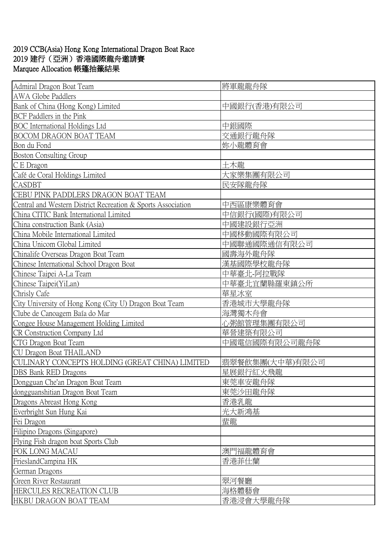## 2019 CCB(Asia) Hong Kong International Dragon Boat Race 2019 建行(亞洲)香港國際龍舟邀請賽 Marquee Allocation 帳篷抽籤結果

| Admiral Dragon Boat Team                                     | 將軍龍龍舟隊          |
|--------------------------------------------------------------|-----------------|
| <b>AWA Globe Paddlers</b>                                    |                 |
| Bank of China (Hong Kong) Limited                            | 中國銀行(香港)有限公司    |
| <b>BCF</b> Paddlers in the Pink                              |                 |
| <b>BOC</b> International Holdings Ltd                        | 中銀國際            |
| <b>BOCOM DRAGON BOAT TEAM</b>                                | 交通銀行龍舟隊         |
| Bon du Fond                                                  | 妳小龍體育會          |
| <b>Boston Consulting Group</b>                               |                 |
| C E Dragon                                                   | 土木龍             |
| Café de Coral Holdings Limited                               | 大家樂集團有限公司       |
| <b>CASDBT</b>                                                | 民安隊龍舟隊          |
| CEBU PINK PADDLERS DRAGON BOAT TEAM                          |                 |
| Central and Western District Recreation & Sports Association | 中西區康樂體育會        |
| China CITIC Bank International Limited                       | 中信銀行(國際)有限公司    |
| China construction Bank (Asia)                               | 中國建設銀行亞洲        |
| China Mobile International Limited                           | 中國移動國際有限公司      |
| China Unicom Global Limited                                  | 中國聯通國際通信有限公司    |
| Chinalife Overseas Dragon Boat Team                          | 國壽海外龍舟隊         |
| Chinese International School Dragon Boat                     | 漢基國際學校龍舟隊       |
| Chinese Taipei A-La Team                                     | 中華臺北-阿拉戰隊       |
| Chinese Taipei(YiLan)                                        | 中華臺北宜蘭縣羅東鎮公所    |
| Chrisly Cafe                                                 | 華星冰室            |
| City University of Hong Kong (City U) Dragon Boat Team       | 香港城市大學龍舟隊       |
| Clube de Canoagem Baía do Mar                                | 海灣獨木舟會          |
| Congee House Management Holding Limited                      | 心粥館管理集團有限公司     |
| CR Construction Company Ltd                                  | 華營建築有限公司        |
| CTG Dragon Boat Team                                         | 中國電信國際有限公司龍舟隊   |
| CU Dragon Boat THAILAND                                      |                 |
| CULINARY CONCEPTS HOLDING (GREAT CHINA) LIMITED              | 翡翠餐飲集團(大中華)有限公司 |
| DBS Bank RED Dragons                                         | 星展銀行紅火飛龍        |
| Dongguan Che'an Dragon Boat Team                             | 東莞車安龍舟隊         |
| dongguanshitian Dragon Boat Team                             | 東莞沙田龍舟隊         |
| Dragons Abreast Hong Kong                                    | 香港乳龍            |
| Everbright Sun Hung Kai                                      | 光大新鴻基           |
| Fei Dragon                                                   | 蜚龍              |
| Filipino Dragons (Singapore)                                 |                 |
| Flying Fish dragon boat Sports Club                          |                 |
| FOK LONG MACAU                                               | 澳門福龍體育會         |
| FrieslandCampina HK                                          | 香港菲仕蘭           |
| German Dragons                                               |                 |
| Green River Restaurant                                       | 翠河餐廳            |
| HERCULES RECREATION CLUB                                     | 海格體藝會           |
| HKBU DRAGON BOAT TEAM                                        | 香港浸會大學龍舟隊       |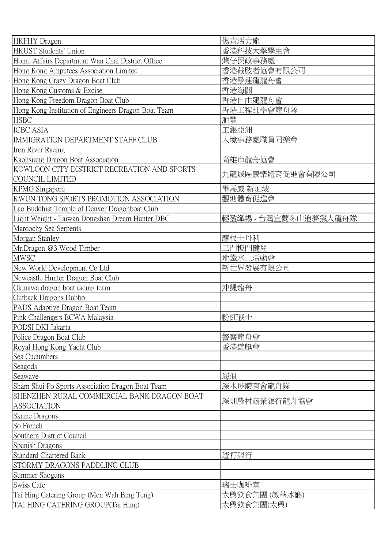| <b>HKFHY</b> Dragon                                 | 傷青活力龍                |
|-----------------------------------------------------|----------------------|
| HKUST Students' Union                               | 香港科技大學學生會            |
| Home Affairs Department Wan Chai District Office    | 灣仔民政事務處              |
| Hong Kong Amputees Association Limited              | 香港截肢者協會有限公司          |
| Hong Kong Crazy Dragon Boat Club                    | 香港暴速龍龍舟會             |
| Hong Kong Customs & Excise                          | 香港海關                 |
| Hong Kong Freedom Dragon Boat Club                  | 香港自由龍龍舟會             |
| Hong Kong Institution of Engineers Dragon Boat Team | 香港工程師學會龍舟隊           |
| <b>HSBC</b>                                         | 滙豐                   |
| <b>ICBC ASIA</b>                                    | 工銀亞洲                 |
| IMMIGRATION DEPARTMENT STAFF CLUB                   | 入境事務處職員同樂會           |
| Iron River Racing                                   |                      |
| Kaohsiung Dragon Boat Association                   | 高雄市龍舟協會              |
| KOWLOON CITY DISTRICT RECREATION AND SPORTS         |                      |
| <b>COUNCIL LIMITED</b>                              | 九龍城區康樂體育促進會有限公司      |
| <b>KPMG</b> Singapore                               | 畢馬威 新加坡              |
| KWUN TONG SPORTS PROMOTION ASSOCIATION              | 觀塘體育促進會              |
| Lao Buddhist Temple of Denver Dragonboat Club       |                      |
| Light Weight - Taiwan Dongshan Dream Hunter DBC     | 輕盈纖暢 - 台灣宜蘭冬山追夢獵人龍舟隊 |
| Maroochy Sea Serpents                               |                      |
| Morgan Stanley                                      | 摩根士丹利                |
| Mr.Dragon @3 Wood Timber                            | 三門板門健兒               |
| <b>MWSC</b>                                         | 地鐵水上活動會              |
| New World Development Co Ltd                        | 新世界發展有限公司            |
| Newcastle Hunter Dragon Boat Club                   |                      |
| Okinawa dragon boat racing team                     | 沖縄龍舟                 |
| Outback Dragons Dubbo                               |                      |
| PADS Adaptive Dragon Boat Team                      |                      |
| Pink Challengers BCWA Malaysia                      | 粉紅戰士                 |
| PODSI DKI Jakarta                                   |                      |
| Police Dragon Boat Club                             | 警察龍舟會                |
| Royal Hong Kong Yacht Club                          | 香港遊艇會                |
| Sea Cucumbers                                       |                      |
| Seagods                                             |                      |
| Seawave                                             | 海浪                   |
| Sham Shui Po Sports Association Dragon Boat Team    | 深水埗體育會龍舟隊            |
| SHENZHEN RURAL COMMERCIAL BANK DRAGON BOAT          |                      |
| <b>ASSOCIATION</b>                                  | 深圳農村商業銀行龍舟協會         |
| <b>Skrine Dragons</b>                               |                      |
| So French                                           |                      |
| Southern District Council                           |                      |
| Spanish Dragons                                     |                      |
| <b>Standard Chartered Bank</b>                      | 渣打銀行                 |
| STORMY DRAGONS PADDLING CLUB                        |                      |
| Summer Shoguns                                      |                      |
| <b>Swiss Cafe</b>                                   | 瑞士咖啡室                |
| Tai Hing Catering Group (Men Wah Bing Teng)         | 太興飲食集團 (敏華冰廳)        |
| TAI HING CATERING GROUP(Tai Hing)                   | 太興飲食集團(太興)           |